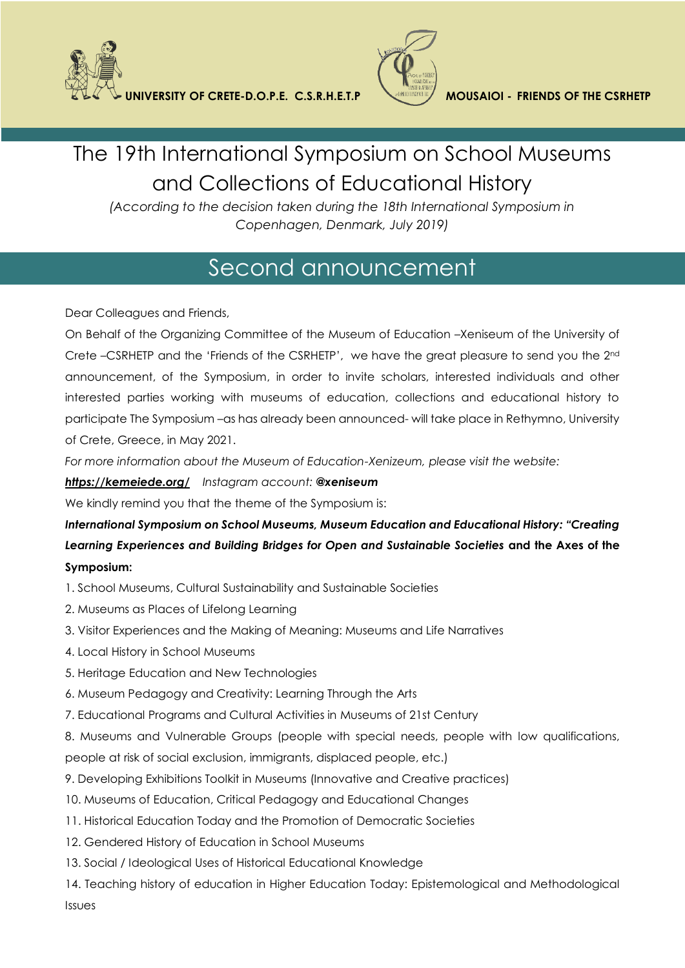



## The 19th International Symposium on School Museums and Collections of Educational History

*(According to the decision taken during the 18th International Symposium in Copenhagen, Denmark, July 2019)*

## Second announcement

Dear Colleagues and Friends,

On Behalf of the Organizing Committee of the Museum of Education –Xeniseum of the University of Crete –CSRHETP and the 'Friends of the CSRHETP', we have the great pleasure to send you the 2nd announcement, of the Symposium, in order to invite scholars, interested individuals and other interested parties working with museums of education, collections and educational history to participate The Symposium –as has already been announced- will take place in Rethymno, University of Crete, Greece, in May 2021.

*For more information about the Museum of Education-Xenizeum, please visit the website:*

## *<https://kemeiede.org/> Instagram account: @xeniseum*

We kindly remind you that the theme of the Symposium is:

*International Symposium on School Museums, Museum Education and Educational History: "Creating Learning Experiences and Building Bridges for Open and Sustainable Societies* **and the Axes of the Symposium:**

- 1. School Museums, Cultural Sustainability and Sustainable Societies
- 2. Museums as Places of Lifelong Learning
- 3. Visitor Experiences and the Making of Meaning: Museums and Life Narratives
- 4. Local History in School Museums
- 5. Heritage Education and New Technologies
- 6. Museum Pedagogy and Creativity: Learning Through the Arts
- 7. Educational Programs and Cultural Activities in Museums of 21st Century
- 8. Museums and Vulnerable Groups (people with special needs, people with low qualifications,

people at risk of social exclusion, immigrants, displaced people, etc.)

- 9. Developing Exhibitions Toolkit in Museums (Innovative and Creative practices)
- 10. Museums of Education, Critical Pedagogy and Educational Changes
- 11. Historical Education Today and the Promotion of Democratic Societies
- 12. Gendered History of Education in School Museums
- 13. Social / Ideological Uses of Historical Educational Knowledge

14. Teaching history of education in Higher Education Today: Epistemological and Methodological Issues